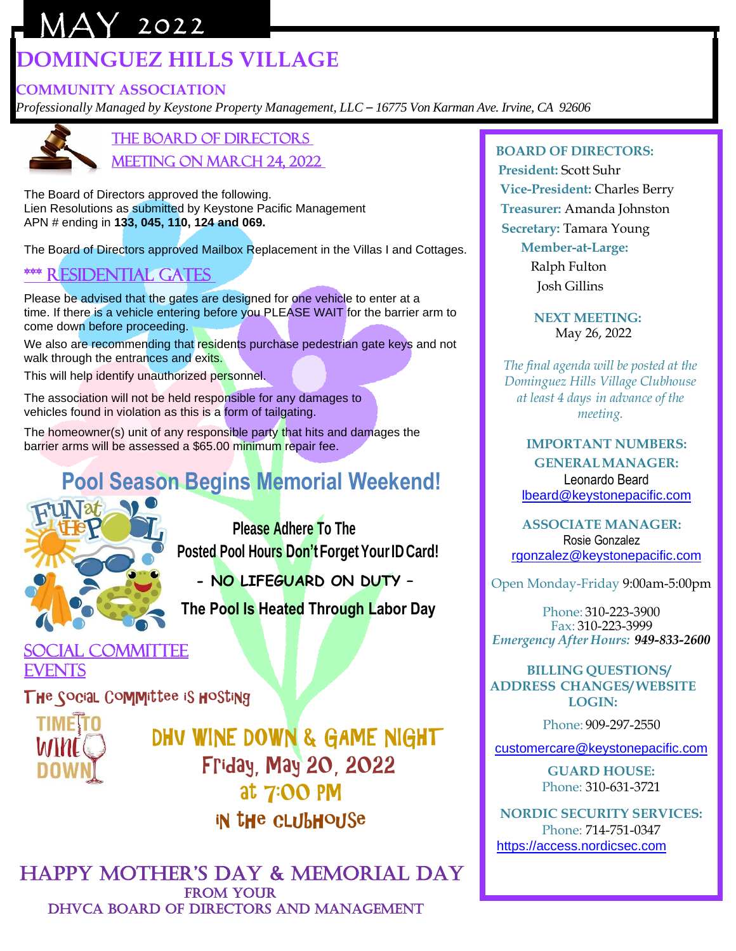# MAY 2022 **DOMINGUEZ HILLS VILLAGE**

### **COMMUNITY ASSOCIATION**

*Professionally Managed by Keystone Property Management, LLC – 16775 Von Karman Ave. Irvine, CA 92606*



the Board of Directors Meeting on March 24, 2022

The Board of Directors approved the following. Lien Resolutions as submitted by Keystone Pacific Management APN # ending in **133, 045, 110, 124 and 069.**

The Board of Directors approved Mailbox Replacement in the Villas I and Cottages.

## \*\*\* residential Gates

Please be advised that the gates are designed for one vehicle to enter at a time. If there is a vehicle entering before you PLEASE WAIT for the barrier arm to come down before proceeding.

We also are recommending that residents purchase pedestrian gate keys and not walk through the entrances and exits.

This will help identify unauthorized personnel.

The association will not be held responsible for any damages to vehicles found in violation as this is a form of tailgating.

The homeowner(s) unit of any responsible party that hits and damages the barrier arms will be assessed a \$65.00 minimum repair fee.

# **Pool Season Begins Memorial Weekend!**



 **Please Adhere To The Posted Pool Hours Don'tForgetYourID Card!**

 **- NO LIFEGUARD ON DUTY –**

**The Pool Is Heated Through Labor Day**

### Social Committee **EVENTS**

The Social Committee is hosting



 DHV WINE DOWN & GAME NIGHT Friday, May 20, 2022 at 7:00 PM in the clubhouse

 Happy MotHer's Day & Memorial Day FROM YOUR DHVCA BOARD OF DIRECTORS AND MANAGEMENT

#### **BOARD OF DIRECTORS:**

 **President:** Scott Suhr **Vice-President:** Charles Berry **Treasurer:** Amanda Johnston  **Secretary:** Tamara Young

> **Member-at-Large:** Ralph Fulton

Josh Gillins

 **NEXT MEETING:** May 26, 2022

*The final agenda will be posted at the Dominguez Hills Village Clubhouse at least 4 days in advance of the meeting.*

> **IMPORTANT NUMBERS: GENERALMANAGER:** Leonardo Beard [lbeard@keystonepacific.com](mailto:lbeard@keystonepacific.com)

**ASSOCIATE MANAGER:** Rosie Gonzalez [rgonzalez@keystonepacific.com](mailto:rgonzalez@keystonepacific.com)

Open Monday-Friday 9:00am-5:00pm

Phone: 310-223-3900 Fax: 310-223-3999 *Emergency After Hours: 949-833-2600*

 **BILLING QUESTIONS/ ADDRESS CHANGES/ WEBSITE LOGIN:**

Phone: 909-297-2550

[customercare@keystonepacific.com](mailto:customercare@keystonepacific.com)

**GUARD HOUSE:** Phone: 310-631-3721

**NORDIC SECURITY SERVICES:** Phone: 714-751-0347 [https://access.nordicsec.com](https://access.nordicsec.com/)